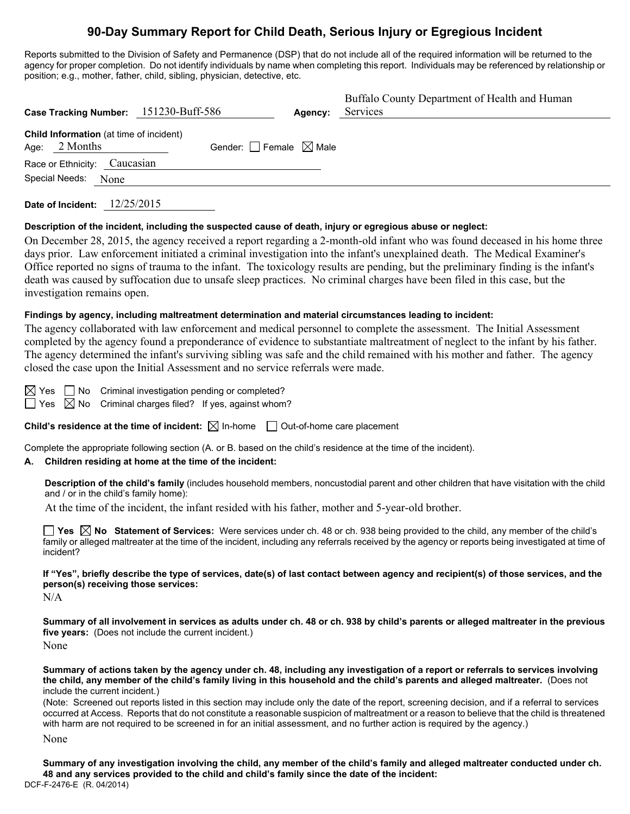# **90-Day Summary Report for Child Death, Serious Injury or Egregious Incident**

Reports submitted to the Division of Safety and Permanence (DSP) that do not include all of the required information will be returned to the agency for proper completion. Do not identify individuals by name when completing this report. Individuals may be referenced by relationship or position; e.g., mother, father, child, sibling, physician, detective, etc.

| Case Tracking Number: 151230-Buff-586                      |                                        | Agency: | Buffalo County Department of Health and Human<br>Services |
|------------------------------------------------------------|----------------------------------------|---------|-----------------------------------------------------------|
| Child Information (at time of incident)<br>Age: $2$ Months | Gender: $\Box$ Female $\boxtimes$ Male |         |                                                           |
| Race or Ethnicity: Caucasian                               |                                        |         |                                                           |
| Special Needs:<br>None                                     |                                        |         |                                                           |

**Date of Incident:** 12/25/2015

## **Description of the incident, including the suspected cause of death, injury or egregious abuse or neglect:**

On December 28, 2015, the agency received a report regarding a 2-month-old infant who was found deceased in his home three days prior. Law enforcement initiated a criminal investigation into the infant's unexplained death. The Medical Examiner's Office reported no signs of trauma to the infant. The toxicology results are pending, but the preliminary finding is the infant's death was caused by suffocation due to unsafe sleep practices. No criminal charges have been filed in this case, but the investigation remains open.

## **Findings by agency, including maltreatment determination and material circumstances leading to incident:**

The agency collaborated with law enforcement and medical personnel to complete the assessment. The Initial Assessment completed by the agency found a preponderance of evidence to substantiate maltreatment of neglect to the infant by his father. The agency determined the infant's surviving sibling was safe and the child remained with his mother and father. The agency closed the case upon the Initial Assessment and no service referrals were made.

 $\boxtimes$  Yes  $\Box$  No Criminal investigation pending or completed?

 $\Box$  Yes  $\boxtimes$  No Criminal charges filed? If yes, against whom?

**Child's residence at the time of incident:**  $\boxtimes$  In-home  $\Box$  Out-of-home care placement

Complete the appropriate following section (A. or B. based on the child's residence at the time of the incident).

## **A. Children residing at home at the time of the incident:**

**Description of the child's family** (includes household members, noncustodial parent and other children that have visitation with the child and / or in the child's family home):

At the time of the incident, the infant resided with his father, mother and 5-year-old brother.

**Yes No Statement of Services:** Were services under ch. 48 or ch. 938 being provided to the child, any member of the child's family or alleged maltreater at the time of the incident, including any referrals received by the agency or reports being investigated at time of incident?

**If "Yes", briefly describe the type of services, date(s) of last contact between agency and recipient(s) of those services, and the person(s) receiving those services:** 

N/A

**Summary of all involvement in services as adults under ch. 48 or ch. 938 by child's parents or alleged maltreater in the previous five years:** (Does not include the current incident.) None

**Summary of actions taken by the agency under ch. 48, including any investigation of a report or referrals to services involving the child, any member of the child's family living in this household and the child's parents and alleged maltreater.** (Does not include the current incident.)

(Note: Screened out reports listed in this section may include only the date of the report, screening decision, and if a referral to services occurred at Access. Reports that do not constitute a reasonable suspicion of maltreatment or a reason to believe that the child is threatened with harm are not required to be screened in for an initial assessment, and no further action is required by the agency.)

None

DCF-F-2476-E (R. 04/2014) **Summary of any investigation involving the child, any member of the child's family and alleged maltreater conducted under ch. 48 and any services provided to the child and child's family since the date of the incident:**